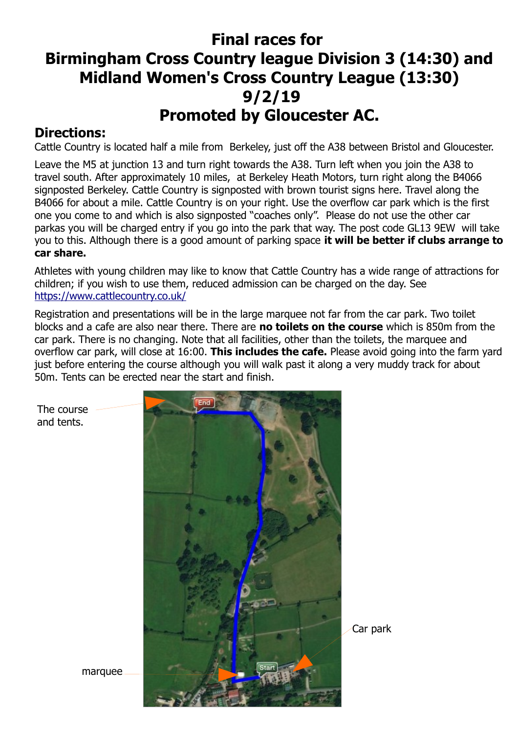## **Final races for Birmingham Cross Country league Division 3 (14:30) and Midland Women's Cross Country League (13:30) 9/2/19 Promoted by Gloucester AC.**

## **Directions:**

Cattle Country is located half a mile from Berkeley, just off the A38 between Bristol and Gloucester.

Leave the M5 at junction 13 and turn right towards the A38. Turn left when you join the A38 to travel south. After approximately 10 miles, at Berkeley Heath Motors, turn right along the B4066 signposted Berkeley. Cattle Country is signposted with brown tourist signs here. Travel along the B4066 for about a mile. Cattle Country is on your right. Use the overflow car park which is the first one you come to and which is also signposted "coaches only". Please do not use the other car parkas you will be charged entry if you go into the park that way. The post code GL13 9EW will take you to this. Although there is a good amount of parking space **it will be better if clubs arrange to car share.**

Athletes with young children may like to know that Cattle Country has a wide range of attractions for children; if you wish to use them, reduced admission can be charged on the day. See <https://www.cattlecountry.co.uk/>

Registration and presentations will be in the large marquee not far from the car park. Two toilet blocks and a cafe are also near there. There are **no toilets on the course** which is 850m from the car park. There is no changing. Note that all facilities, other than the toilets, the marquee and overflow car park, will close at 16:00. **This includes the cafe.** Please avoid going into the farm yard just before entering the course although you will walk past it along a very muddy track for about 50m. Tents can be erected near the start and finish.



The course and tents.

marquee